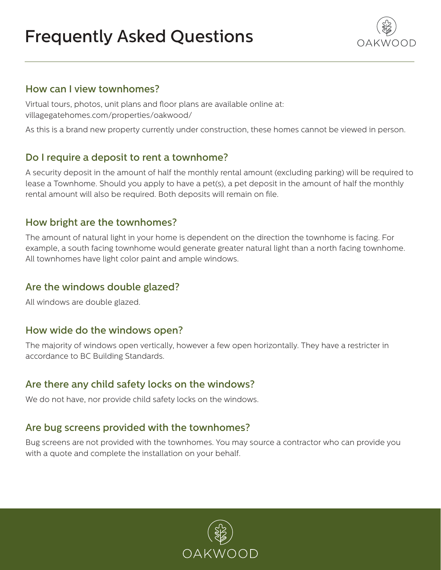# Frequently Asked Questions



#### How can I view townhomes?

Virtual tours, photos, unit plans and floor plans are available online at: villagegatehomes.com/properties/oakwood/

As this is a brand new property currently under construction, these homes cannot be viewed in person.

# Do I require a deposit to rent a townhome?

A security deposit in the amount of half the monthly rental amount (excluding parking) will be required to lease a Townhome. Should you apply to have a pet(s), a pet deposit in the amount of half the monthly rental amount will also be required. Both deposits will remain on file.

## How bright are the townhomes?

The amount of natural light in your home is dependent on the direction the townhome is facing. For example, a south facing townhome would generate greater natural light than a north facing townhome. All townhomes have light color paint and ample windows.

#### Are the windows double glazed?

All windows are double glazed.

#### How wide do the windows open?

The majority of windows open vertically, however a few open horizontally. They have a restricter in accordance to BC Building Standards.

## Are there any child safety locks on the windows?

We do not have, nor provide child safety locks on the windows.

## Are bug screens provided with the townhomes?

Bug screens are not provided with the townhomes. You may source a contractor who can provide you with a quote and complete the installation on your behalf.

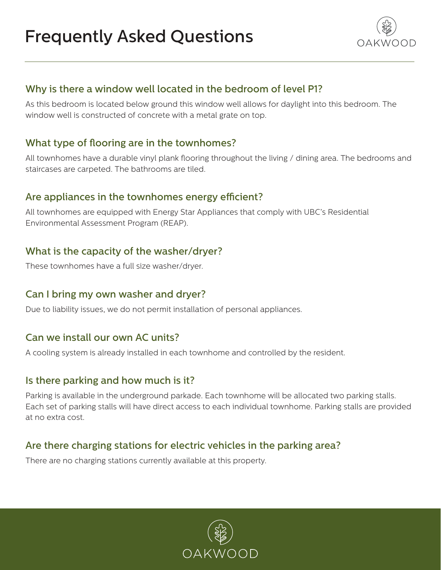# Frequently Asked Questions



# Why is there a window well located in the bedroom of level P1?

As this bedroom is located below ground this window well allows for daylight into this bedroom. The window well is constructed of concrete with a metal grate on top.

# What type of flooring are in the townhomes?

All townhomes have a durable vinyl plank flooring throughout the living / dining area. The bedrooms and staircases are carpeted. The bathrooms are tiled.

# Are appliances in the townhomes energy efficient?

All townhomes are equipped with Energy Star Appliances that comply with UBC's Residential Environmental Assessment Program (REAP).

# What is the capacity of the washer/dryer?

These townhomes have a full size washer/dryer.

## Can I bring my own washer and dryer?

Due to liability issues, we do not permit installation of personal appliances.

## Can we install our own AC units?

A cooling system is already installed in each townhome and controlled by the resident.

## Is there parking and how much is it?

Parking is available in the underground parkade. Each townhome will be allocated two parking stalls. Each set of parking stalls will have direct access to each individual townhome. Parking stalls are provided at no extra cost.

# Are there charging stations for electric vehicles in the parking area?

There are no charging stations currently available at this property.